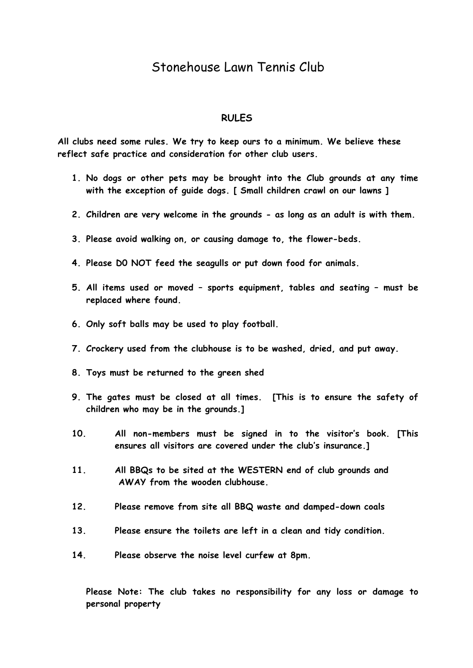## Stonehouse Lawn Tennis Club

#### **RULES**

**All clubs need some rules. We try to keep ours to a minimum. We believe these reflect safe practice and consideration for other club users.**

- **1. No dogs or other pets may be brought into the Club grounds at any time with the exception of guide dogs. [ Small children crawl on our lawns ]**
- **2. Children are very welcome in the grounds - as long as an adult is with them.**
- **3. Please avoid walking on, or causing damage to, the flower-beds.**
- **4. Please D0 NOT feed the seagulls or put down food for animals.**
- **5. All items used or moved – sports equipment, tables and seating – must be replaced where found.**
- **6. Only soft balls may be used to play football.**
- **7. Crockery used from the clubhouse is to be washed, dried, and put away.**
- **8. Toys must be returned to the green shed**
- **9. The gates must be closed at all times. [This is to ensure the safety of children who may be in the grounds.]**
- **10. All non-members must be signed in to the visitor's book. [This ensures all visitors are covered under the club's insurance.]**
- **11. All BBQs to be sited at the WESTERN end of club grounds and AWAY from the wooden clubhouse.**
- **12. Please remove from site all BBQ waste and damped-down coals**
- **13. Please ensure the toilets are left in a clean and tidy condition.**
- **14. Please observe the noise level curfew at 8pm.**

**Please Note: The club takes no responsibility for any loss or damage to personal property**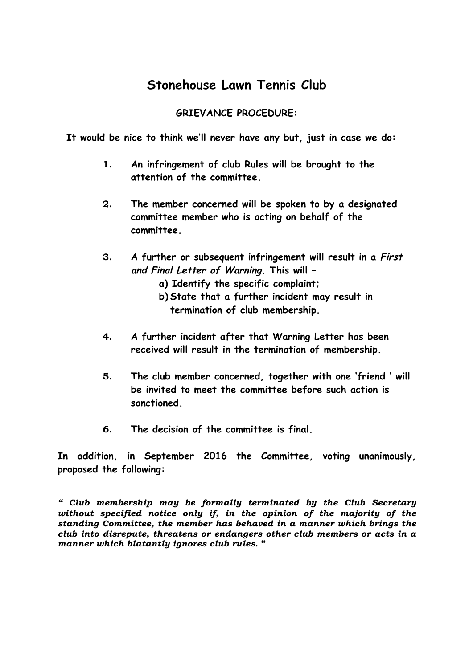## **Stonehouse Lawn Tennis Club**

## **GRIEVANCE PROCEDURE:**

**It would be nice to think we'll never have any but, just in case we do:**

- **1. An infringement of club Rules will be brought to the attention of the committee.**
- **2. The member concerned will be spoken to by a designated committee member who is acting on behalf of the committee.**
- **3. A further or subsequent infringement will result in a First and Final Letter of Warning. This will –** 
	- **a) Identify the specific complaint;**
	- **b) State that a further incident may result in termination of club membership.**
- **4. A further incident after that Warning Letter has been received will result in the termination of membership.**
- **5. The club member concerned, together with one 'friend ' will be invited to meet the committee before such action is sanctioned.**
- **6. The decision of the committee is final.**

**In addition, in September 2016 the Committee, voting unanimously, proposed the following:**

*" Club membership may be formally terminated by the Club Secretary without specified notice only if, in the opinion of the majority of the standing Committee, the member has behaved in a manner which brings the club into disrepute, threatens or endangers other club members or acts in a manner which blatantly ignores club rules.* **"**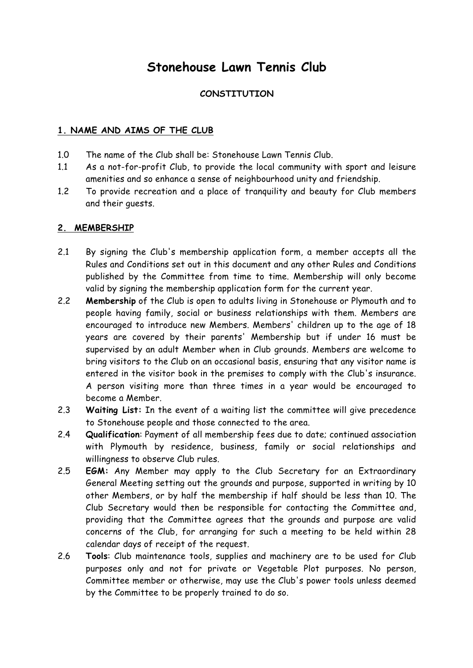# **Stonehouse Lawn Tennis Club**

### **CONSTITUTION**

#### **1. NAME AND AIMS OF THE CLUB**

- 1.0 The name of the Club shall be: Stonehouse Lawn Tennis Club.
- 1.1 As a not-for-profit Club, to provide the local community with sport and leisure amenities and so enhance a sense of neighbourhood unity and friendship.
- 1.2 To provide recreation and a place of tranquility and beauty for Club members and their guests.

#### **2. MEMBERSHIP**

- 2.1 By signing the Club's membership application form, a member accepts all the Rules and Conditions set out in this document and any other Rules and Conditions published by the Committee from time to time. Membership will only become valid by signing the membership application form for the current year.
- 2.2 **Membership** of the Club is open to adults living in Stonehouse or Plymouth and to people having family, social or business relationships with them. Members are encouraged to introduce new Members. Members' children up to the age of 18 years are covered by their parents' Membership but if under 16 must be supervised by an adult Member when in Club grounds. Members are welcome to bring visitors to the Club on an occasional basis, ensuring that any visitor name is entered in the visitor book in the premises to comply with the Club's insurance. A person visiting more than three times in a year would be encouraged to become a Member.
- 2.3 **Waiting List:** In the event of a waiting list the committee will give precedence to Stonehouse people and those connected to the area.
- 2.4 **Qualification**: Payment of all membership fees due to date; continued association with Plymouth by residence, business, family or social relationships and willingness to observe Club rules.
- 2.5 **EGM:** Any Member may apply to the Club Secretary for an Extraordinary General Meeting setting out the grounds and purpose, supported in writing by 10 other Members, or by half the membership if half should be less than 10. The Club Secretary would then be responsible for contacting the Committee and, providing that the Committee agrees that the grounds and purpose are valid concerns of the Club, for arranging for such a meeting to be held within 28 calendar days of receipt of the request.
- 2.6 **Tools**: Club maintenance tools, supplies and machinery are to be used for Club purposes only and not for private or Vegetable Plot purposes. No person, Committee member or otherwise, may use the Club's power tools unless deemed by the Committee to be properly trained to do so.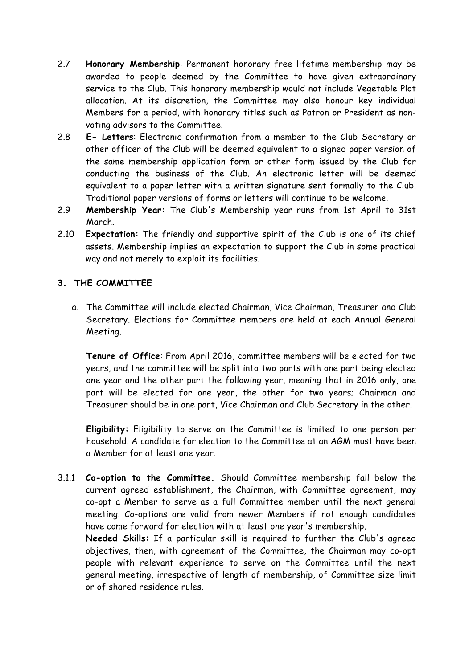- 2.7 **Honorary Membership**: Permanent honorary free lifetime membership may be awarded to people deemed by the Committee to have given extraordinary service to the Club. This honorary membership would not include Vegetable Plot allocation. At its discretion, the Committee may also honour key individual Members for a period, with honorary titles such as Patron or President as nonvoting advisors to the Committee.
- 2.8 **E- Letters**: Electronic confirmation from a member to the Club Secretary or other officer of the Club will be deemed equivalent to a signed paper version of the same membership application form or other form issued by the Club for conducting the business of the Club. An electronic letter will be deemed equivalent to a paper letter with a written signature sent formally to the Club. Traditional paper versions of forms or letters will continue to be welcome.
- 2.9 **Membership Year:** The Club's Membership year runs from 1st April to 31st March.
- 2.10 **Expectation:** The friendly and supportive spirit of the Club is one of its chief assets. Membership implies an expectation to support the Club in some practical way and not merely to exploit its facilities.

### **3. THE COMMITTEE**

a. The Committee will include elected Chairman, Vice Chairman, Treasurer and Club Secretary. Elections for Committee members are held at each Annual General Meeting.

**Tenure of Office**: From April 2016, committee members will be elected for two years, and the committee will be split into two parts with one part being elected one year and the other part the following year, meaning that in 2016 only, one part will be elected for one year, the other for two years; Chairman and Treasurer should be in one part, Vice Chairman and Club Secretary in the other.

**Eligibility:** Eligibility to serve on the Committee is limited to one person per household. A candidate for election to the Committee at an AGM must have been a Member for at least one year.

3.1.1 **Co-option to the Committee.** Should Committee membership fall below the current agreed establishment, the Chairman, with Committee agreement, may co-opt a Member to serve as a full Committee member until the next general meeting. Co-options are valid from newer Members if not enough candidates have come forward for election with at least one year's membership.

**Needed Skills:** If a particular skill is required to further the Club's agreed objectives, then, with agreement of the Committee, the Chairman may co-opt people with relevant experience to serve on the Committee until the next general meeting, irrespective of length of membership, of Committee size limit or of shared residence rules.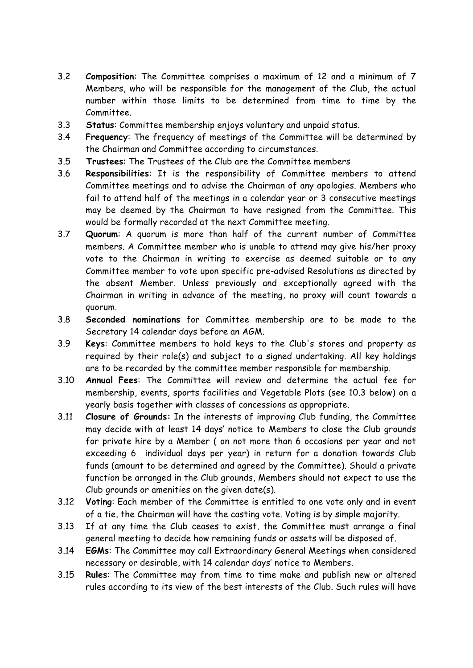- 3.2 **Composition**: The Committee comprises a maximum of 12 and a minimum of 7 Members, who will be responsible for the management of the Club, the actual number within those limits to be determined from time to time by the Committee.
- 3.3 **Status**: Committee membership enjoys voluntary and unpaid status.
- 3.4 **Frequency**: The frequency of meetings of the Committee will be determined by the Chairman and Committee according to circumstances.
- 3.5 **Trustees**: The Trustees of the Club are the Committee members
- 3.6 **Responsibilities**: It is the responsibility of Committee members to attend Committee meetings and to advise the Chairman of any apologies. Members who fail to attend half of the meetings in a calendar year or 3 consecutive meetings may be deemed by the Chairman to have resigned from the Committee. This would be formally recorded at the next Committee meeting.
- 3.7 **Quorum**: A quorum is more than half of the current number of Committee members. A Committee member who is unable to attend may give his/her proxy vote to the Chairman in writing to exercise as deemed suitable or to any Committee member to vote upon specific pre-advised Resolutions as directed by the absent Member. Unless previously and exceptionally agreed with the Chairman in writing in advance of the meeting, no proxy will count towards a quorum.
- 3.8 **Seconded nominations** for Committee membership are to be made to the Secretary 14 calendar days before an AGM.
- 3.9 **Keys**: Committee members to hold keys to the Club's stores and property as required by their role(s) and subject to a signed undertaking. All key holdings are to be recorded by the committee member responsible for membership.
- 3.10 **Annual Fees**: The Committee will review and determine the actual fee for membership, events, sports facilities and Vegetable Plots (see 10.3 below) on a yearly basis together with classes of concessions as appropriate.
- 3.11 **Closure of Grounds:** In the interests of improving Club funding, the Committee may decide with at least 14 days' notice to Members to close the Club grounds for private hire by a Member ( on not more than 6 occasions per year and not exceeding 6 individual days per year) in return for a donation towards Club funds (amount to be determined and agreed by the Committee). Should a private function be arranged in the Club grounds, Members should not expect to use the Club grounds or amenities on the given date(s).
- 3.12 **Voting**: Each member of the Committee is entitled to one vote only and in event of a tie, the Chairman will have the casting vote. Voting is by simple majority.
- 3.13 If at any time the Club ceases to exist, the Committee must arrange a final general meeting to decide how remaining funds or assets will be disposed of.
- 3.14 **EGMs**: The Committee may call Extraordinary General Meetings when considered necessary or desirable, with 14 calendar days' notice to Members.
- 3.15 **Rules**: The Committee may from time to time make and publish new or altered rules according to its view of the best interests of the Club. Such rules will have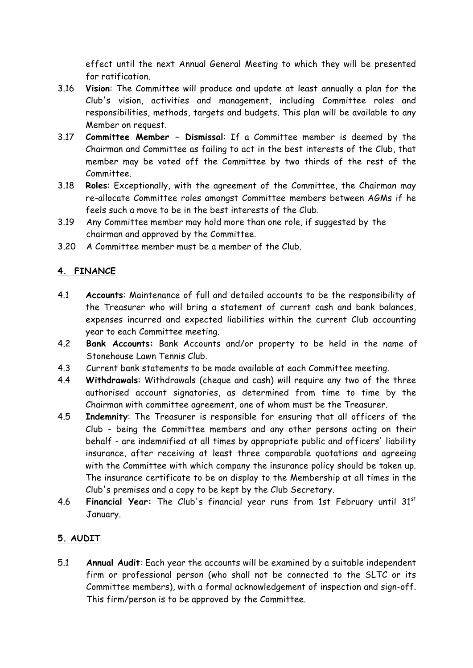effect until the next Annual General Meeting to which they will be presented for ratification.

- 3.16 **Vision**: The Committee will produce and update at least annually a plan for the Club's vision, activities and management, including Committee roles and responsibilities, methods, targets and budgets. This plan will be available to any Member on request.
- 3.17 **Committee Member – Dismissal**: If a Committee member is deemed by the Chairman and Committee as failing to act in the best interests of the Club, that member may be voted off the Committee by two thirds of the rest of the Committee.
- 3.18 **Roles**: Exceptionally, with the agreement of the Committee, the Chairman may re-allocate Committee roles amongst Committee members between AGMs if he feels such a move to be in the best interests of the Club.
- 3.19 Any Committee member may hold more than one role, if suggested by the chairman and approved by the Committee.
- 3.20 A Committee member must be a member of the Club.

## **4. FINANCE**

- 4.1 **Accounts**: Maintenance of full and detailed accounts to be the responsibility of the Treasurer who will bring a statement of current cash and bank balances, expenses incurred and expected liabilities within the current Club accounting year to each Committee meeting.
- 4.2 **Bank Accounts:** Bank Accounts and/or property to be held in the name of Stonehouse Lawn Tennis Club.
- 4.3 Current bank statements to be made available at each Committee meeting.
- 4.4 **Withdrawals**: Withdrawals (cheque and cash) will require any two of the three authorised account signatories, as determined from time to time by the Chairman with committee agreement, one of whom must be the Treasurer.
- 4.5 **Indemnity**: The Treasurer is responsible for ensuring that all officers of the Club - being the Committee members and any other persons acting on their behalf - are indemnified at all times by appropriate public and officers' liability insurance, after receiving at least three comparable quotations and agreeing with the Committee with which company the insurance policy should be taken up. The insurance certificate to be on display to the Membership at all times in the Club's premises and a copy to be kept by the Club Secretary.
- 4.6 **Financial Year:** The Club's financial year runs from 1st February until 31st January.

## **5. AUDIT**

5.1 **Annual Audit**: Each year the accounts will be examined by a suitable independent firm or professional person (who shall not be connected to the SLTC or its Committee members), with a formal acknowledgement of inspection and sign-off. This firm/person is to be approved by the Committee.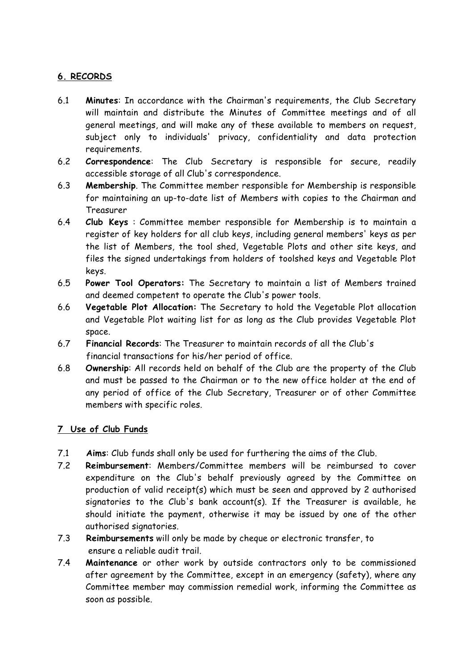## **6. RECORDS**

- 6.1 **Minutes**: In accordance with the Chairman's requirements, the Club Secretary will maintain and distribute the Minutes of Committee meetings and of all general meetings, and will make any of these available to members on request, subject only to individuals' privacy, confidentiality and data protection requirements.
- 6.2 **Correspondence**: The Club Secretary is responsible for secure, readily accessible storage of all Club's correspondence.
- 6.3 **Membership**. The Committee member responsible for Membership is responsible for maintaining an up-to-date list of Members with copies to the Chairman and Treasurer
- 6.4 **Club Keys** : Committee member responsible for Membership is to maintain a register of key holders for all club keys, including general members' keys as per the list of Members, the tool shed, Vegetable Plots and other site keys, and files the signed undertakings from holders of toolshed keys and Vegetable Plot keys.
- 6.5 **Power Tool Operators:** The Secretary to maintain a list of Members trained and deemed competent to operate the Club's power tools.
- 6.6 **Vegetable Plot Allocation:** The Secretary to hold the Vegetable Plot allocation and Vegetable Plot waiting list for as long as the Club provides Vegetable Plot space.
- 6.7 **Financial Records**: The Treasurer to maintain records of all the Club's financial transactions for his/her period of office.
- 6.8 **Ownership**: All records held on behalf of the Club are the property of the Club and must be passed to the Chairman or to the new office holder at the end of any period of office of the Club Secretary, Treasurer or of other Committee members with specific roles.

## **7 Use of Club Funds**

- 7.1 **Aims**: Club funds shall only be used for furthering the aims of the Club.
- 7.2 **Reimbursement**: Members/Committee members will be reimbursed to cover expenditure on the Club's behalf previously agreed by the Committee on production of valid receipt(s) which must be seen and approved by 2 authorised signatories to the Club's bank account(s). If the Treasurer is available, he should initiate the payment, otherwise it may be issued by one of the other authorised signatories.
- 7.3 **Reimbursements** will only be made by cheque or electronic transfer, to ensure a reliable audit trail.
- 7.4 **Maintenance** or other work by outside contractors only to be commissioned after agreement by the Committee, except in an emergency (safety), where any Committee member may commission remedial work, informing the Committee as soon as possible.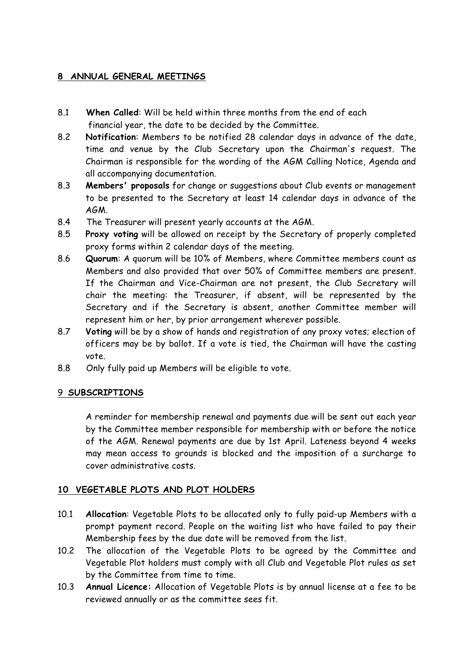## **8 ANNUAL GENERAL MEETINGS**

- 8.1 **When Called**: Will be held within three months from the end of each financial year, the date to be decided by the Committee.
- 8.2 **Notification**: Members to be notified 28 calendar days in advance of the date, time and venue by the Club Secretary upon the Chairman's request. The Chairman is responsible for the wording of the AGM Calling Notice, Agenda and all accompanying documentation.
- 8.3 **Members' proposals** for change or suggestions about Club events or management to be presented to the Secretary at least 14 calendar days in advance of the AGM.
- 8.4 The Treasurer will present yearly accounts at the AGM.
- 8.5 **Proxy voting** will be allowed on receipt by the Secretary of properly completed proxy forms within 2 calendar days of the meeting.
- 8.6 **Quorum**: A quorum will be 10% of Members, where Committee members count as Members and also provided that over 50% of Committee members are present. If the Chairman and Vice-Chairman are not present, the Club Secretary will chair the meeting: the Treasurer, if absent, will be represented by the Secretary and if the Secretary is absent, another Committee member will represent him or her, by prior arrangement wherever possible.
- 8.7 **Voting** will be by a show of hands and registration of any proxy votes; election of officers may be by ballot. If a vote is tied, the Chairman will have the casting vote.
- 8.8 Only fully paid up Members will be eligible to vote.

#### 9 **SUBSCRIPTIONS**

A reminder for membership renewal and payments due will be sent out each year by the Committee member responsible for membership with or before the notice of the AGM. Renewal payments are due by 1st April. Lateness beyond 4 weeks may mean access to grounds is blocked and the imposition of a surcharge to cover administrative costs.

## **10 VEGETABLE PLOTS AND PLOT HOLDERS**

- 10.1 **Allocation**: Vegetable Plots to be allocated only to fully paid-up Members with a prompt payment record. People on the waiting list who have failed to pay their Membership fees by the due date will be removed from the list.
- 10.2 The allocation of the Vegetable Plots to be agreed by the Committee and Vegetable Plot holders must comply with all Club and Vegetable Plot rules as set by the Committee from time to time.
- 10.3 **Annual Licence:** Allocation of Vegetable Plots is by annual license at a fee to be reviewed annually or as the committee sees fit.